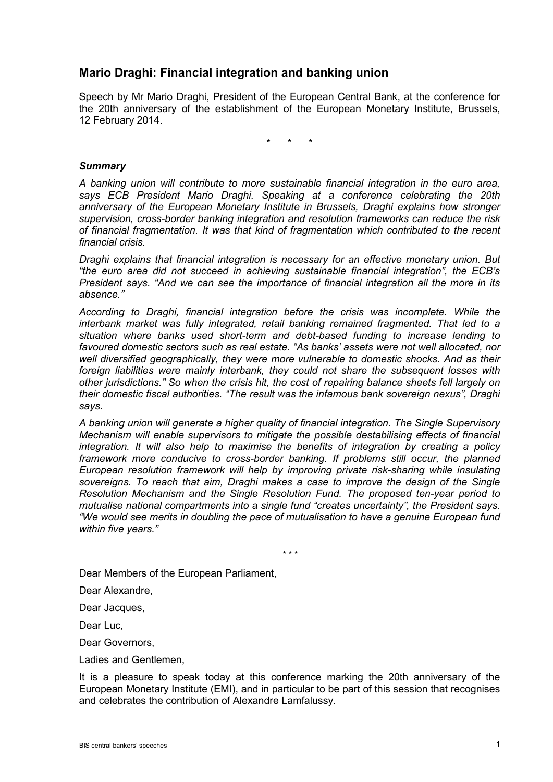# **Mario Draghi: Financial integration and banking union**

Speech by Mr Mario Draghi, President of the European Central Bank, at the conference for the 20th anniversary of the establishment of the European Monetary Institute, Brussels, 12 February 2014.

\* \* \*

## *Summary*

*A banking union will contribute to more sustainable financial integration in the euro area, says ECB President Mario Draghi. Speaking at a conference celebrating the 20th anniversary of the European Monetary Institute in Brussels, Draghi explains how stronger supervision, cross-border banking integration and resolution frameworks can reduce the risk of financial fragmentation. It was that kind of fragmentation which contributed to the recent financial crisis.*

*Draghi explains that financial integration is necessary for an effective monetary union. But "the euro area did not succeed in achieving sustainable financial integration", the ECB's President says. "And we can see the importance of financial integration all the more in its absence."*

*According to Draghi, financial integration before the crisis was incomplete. While the interbank market was fully integrated, retail banking remained fragmented. That led to a situation where banks used short-term and debt-based funding to increase lending to favoured domestic sectors such as real estate. "As banks' assets were not well allocated, nor well diversified geographically, they were more vulnerable to domestic shocks. And as their foreign liabilities were mainly interbank, they could not share the subsequent losses with other jurisdictions." So when the crisis hit, the cost of repairing balance sheets fell largely on their domestic fiscal authorities. "The result was the infamous bank sovereign nexus", Draghi says.*

*A banking union will generate a higher quality of financial integration. The Single Supervisory Mechanism will enable supervisors to mitigate the possible destabilising effects of financial integration. It will also help to maximise the benefits of integration by creating a policy framework more conducive to cross-border banking. If problems still occur, the planned European resolution framework will help by improving private risk-sharing while insulating sovereigns. To reach that aim, Draghi makes a case to improve the design of the Single Resolution Mechanism and the Single Resolution Fund. The proposed ten-year period to mutualise national compartments into a single fund "creates uncertainty", the President says. "We would see merits in doubling the pace of mutualisation to have a genuine European fund within five years."*

*\* \* \**

Dear Members of the European Parliament,

Dear Alexandre,

Dear Jacques,

Dear Luc,

Dear Governors,

Ladies and Gentlemen,

It is a pleasure to speak today at this conference marking the 20th anniversary of the European Monetary Institute (EMI), and in particular to be part of this session that recognises and celebrates the contribution of Alexandre Lamfalussy.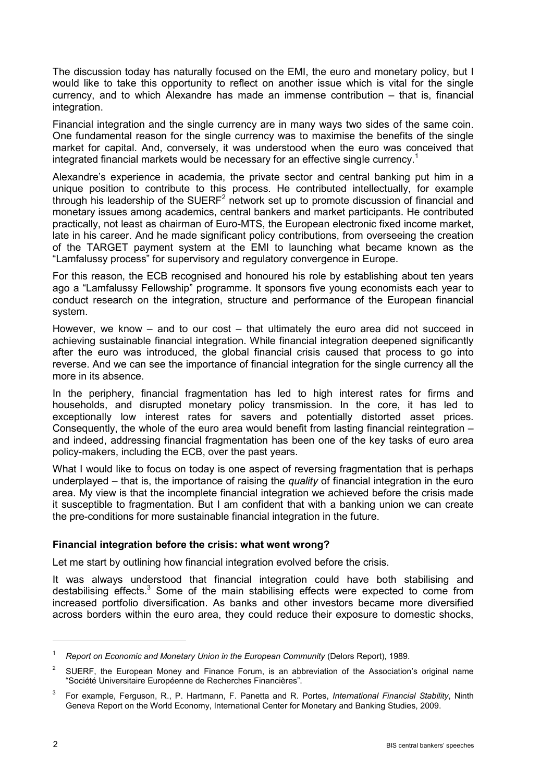The discussion today has naturally focused on the EMI, the euro and monetary policy, but I would like to take this opportunity to reflect on another issue which is vital for the single currency, and to which Alexandre has made an immense contribution – that is, financial integration.

Financial integration and the single currency are in many ways two sides of the same coin. One fundamental reason for the single currency was to maximise the benefits of the single market for capital. And, conversely, it was understood when the euro was conceived that integrated financial markets would be necessary for an effective single currency.<sup>1</sup>

Alexandre's experience in academia, the private sector and central banking put him in a unique position to contribute to this process. He contributed intellectually, for example through his leadership of the  $SUERF<sup>2</sup>$  network set up to promote discussion of financial and monetary issues among academics, central bankers and market participants. He contributed practically, not least as chairman of Euro-MTS, the European electronic fixed income market, late in his career. And he made significant policy contributions, from overseeing the creation of the TARGET payment system at the EMI to launching what became known as the "Lamfalussy process" for supervisory and regulatory convergence in Europe.

For this reason, the ECB recognised and honoured his role by establishing about ten years ago a "Lamfalussy Fellowship" programme. It sponsors five young economists each year to conduct research on the integration, structure and performance of the European financial system.

However, we know – and to our cost – that ultimately the euro area did not succeed in achieving sustainable financial integration. While financial integration deepened significantly after the euro was introduced, the global financial crisis caused that process to go into reverse. And we can see the importance of financial integration for the single currency all the more in its absence.

In the periphery, financial fragmentation has led to high interest rates for firms and households, and disrupted monetary policy transmission. In the core, it has led to exceptionally low interest rates for savers and potentially distorted asset prices. Consequently, the whole of the euro area would benefit from lasting financial reintegration – and indeed, addressing financial fragmentation has been one of the key tasks of euro area policy-makers, including the ECB, over the past years.

What I would like to focus on today is one aspect of reversing fragmentation that is perhaps underplayed – that is, the importance of raising the *quality* of financial integration in the euro area. My view is that the incomplete financial integration we achieved before the crisis made it susceptible to fragmentation. But I am confident that with a banking union we can create the pre-conditions for more sustainable financial integration in the future.

#### **Financial integration before the crisis: what went wrong?**

Let me start by outlining how financial integration evolved before the crisis.

It was always understood that financial integration could have both stabilising and destabilising effects. $3$  Some of the main stabilising effects were expected to come from increased portfolio diversification. As banks and other investors became more diversified across borders within the euro area, they could reduce their exposure to domestic shocks,

<sup>1</sup> *Report on Economic and Monetary Union in the European Community* (Delors Report), 1989.

<sup>&</sup>lt;sup>2</sup> SUERF, the European Money and Finance Forum, is an abbreviation of the Association's original name "Société Universitaire Européenne de Recherches Financières".

<sup>3</sup> For example, Ferguson, R., P. Hartmann, F. Panetta and R. Portes, *International Financial Stability*, Ninth Geneva Report on the World Economy, International Center for Monetary and Banking Studies, 2009.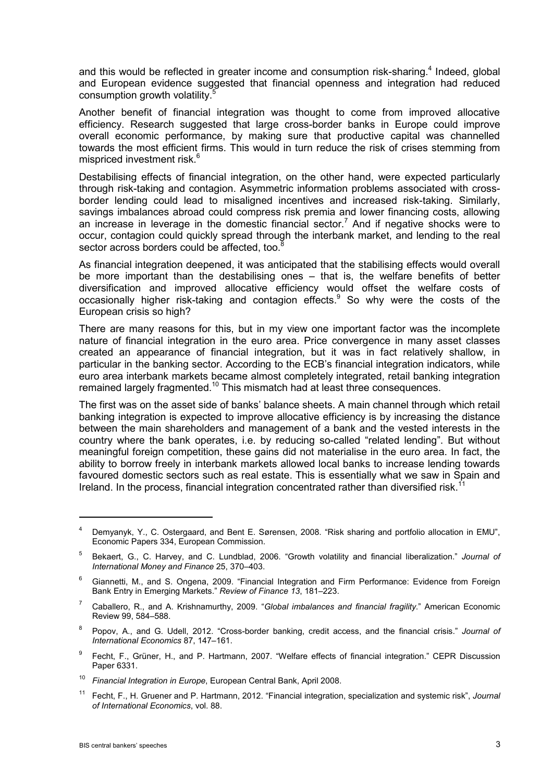and this would be reflected in greater income and consumption risk-sharing.<sup>4</sup> Indeed, global and European evidence suggested that financial openness and integration had reduced consumption growth volatility.<sup>5</sup>

Another benefit of financial integration was thought to come from improved allocative efficiency. Research suggested that large cross-border banks in Europe could improve overall economic performance, by making sure that productive capital was channelled towards the most efficient firms. This would in turn reduce the risk of crises stemming from mispriced investment risk.<sup>6</sup>

Destabilising effects of financial integration, on the other hand, were expected particularly through risk-taking and contagion. Asymmetric information problems associated with crossborder lending could lead to misaligned incentives and increased risk-taking. Similarly, savings imbalances abroad could compress risk premia and lower financing costs, allowing an increase in leverage in the domestic financial sector.<sup>7</sup> And if negative shocks were to occur, contagion could quickly spread through the interbank market, and lending to the real sector across borders could be affected, too.<sup>8</sup>

As financial integration deepened, it was anticipated that the stabilising effects would overall be more important than the destabilising ones – that is, the welfare benefits of better diversification and improved allocative efficiency would offset the welfare costs of occasionally higher risk-taking and contagion effects. $9$  So why were the costs of the European crisis so high?

There are many reasons for this, but in my view one important factor was the incomplete nature of financial integration in the euro area. Price convergence in many asset classes created an appearance of financial integration, but it was in fact relatively shallow, in particular in the banking sector. According to the ECB's financial integration indicators, while euro area interbank markets became almost completely integrated, retail banking integration remained largely fragmented.<sup>10</sup> This mismatch had at least three consequences.

The first was on the asset side of banks' balance sheets. A main channel through which retail banking integration is expected to improve allocative efficiency is by increasing the distance between the main shareholders and management of a bank and the vested interests in the country where the bank operates, i.e. by reducing so-called "related lending". But without meaningful foreign competition, these gains did not materialise in the euro area. In fact, the ability to borrow freely in interbank markets allowed local banks to increase lending towards favoured domestic sectors such as real estate. This is essentially what we saw in Spain and Ireland. In the process, financial integration concentrated rather than diversified risk.<sup>1</sup>

- <sup>8</sup> Popov, A., and G. Udell, 2012. "Cross-border banking, credit access, and the financial crisis." *Journal of International Economics* 87, 147–161.
- <sup>9</sup> Fecht, F., Grüner, H., and P. Hartmann, 2007. "Welfare effects of financial integration." CEPR Discussion Paper 6331.
- <sup>10</sup> *Financial Integration in Europe*, European Central Bank, April 2008.
- <sup>11</sup> Fecht, F., H. Gruener and P. Hartmann, 2012. "Financial integration, specialization and systemic risk", *Journal of International Economics*, vol. 88.

<sup>4</sup> Demyanyk, Y., C. Ostergaard, and Bent E. Sørensen, 2008. "Risk sharing and portfolio allocation in EMU", Economic Papers 334, European Commission.

<sup>5</sup> Bekaert, G., C. Harvey, and C. Lundblad, 2006. "Growth volatility and financial liberalization." *Journal of International Money and Finance* 25, 370–403.

<sup>6</sup> Giannetti, M., and S. Ongena, 2009. "Financial Integration and Firm Performance: Evidence from Foreign Bank Entry in Emerging Markets." *Review of Finance 13*, 181–223.

<sup>7</sup> Caballero, R., and A. Krishnamurthy, 2009. "*Global imbalances and financial fragility*." American Economic Review 99, 584–588.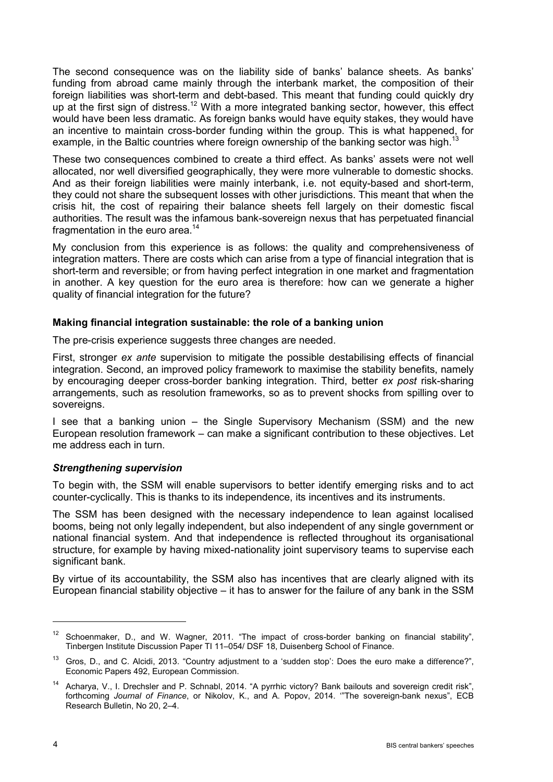The second consequence was on the liability side of banks' balance sheets. As banks' funding from abroad came mainly through the interbank market, the composition of their foreign liabilities was short-term and debt-based. This meant that funding could quickly dry up at the first sign of distress.<sup>12</sup> With a more integrated banking sector, however, this effect would have been less dramatic. As foreign banks would have equity stakes, they would have an incentive to maintain cross-border funding within the group. This is what happened, for example, in the Baltic countries where foreign ownership of the banking sector was high.<sup>1</sup>

These two consequences combined to create a third effect. As banks' assets were not well allocated, nor well diversified geographically, they were more vulnerable to domestic shocks. And as their foreign liabilities were mainly interbank, i.e. not equity-based and short-term, they could not share the subsequent losses with other jurisdictions. This meant that when the crisis hit, the cost of repairing their balance sheets fell largely on their domestic fiscal authorities. The result was the infamous bank-sovereign nexus that has perpetuated financial fragmentation in the euro area. $14$ 

My conclusion from this experience is as follows: the quality and comprehensiveness of integration matters. There are costs which can arise from a type of financial integration that is short-term and reversible; or from having perfect integration in one market and fragmentation in another. A key question for the euro area is therefore: how can we generate a higher quality of financial integration for the future?

## **Making financial integration sustainable: the role of a banking union**

The pre-crisis experience suggests three changes are needed.

First, stronger *ex ante* supervision to mitigate the possible destabilising effects of financial integration. Second, an improved policy framework to maximise the stability benefits, namely by encouraging deeper cross-border banking integration. Third, better *ex post* risk-sharing arrangements, such as resolution frameworks, so as to prevent shocks from spilling over to sovereigns.

I see that a banking union – the Single Supervisory Mechanism (SSM) and the new European resolution framework – can make a significant contribution to these objectives. Let me address each in turn.

#### *Strengthening supervision*

To begin with, the SSM will enable supervisors to better identify emerging risks and to act counter-cyclically. This is thanks to its independence, its incentives and its instruments.

The SSM has been designed with the necessary independence to lean against localised booms, being not only legally independent, but also independent of any single government or national financial system. And that independence is reflected throughout its organisational structure, for example by having mixed-nationality joint supervisory teams to supervise each significant bank.

By virtue of its accountability, the SSM also has incentives that are clearly aligned with its European financial stability objective – it has to answer for the failure of any bank in the SSM

<sup>&</sup>lt;sup>12</sup> Schoenmaker, D., and W. Wagner, 2011. "The impact of cross-border banking on financial stability", Tinbergen Institute Discussion Paper TI 11–054/ DSF 18, Duisenberg School of Finance.

<sup>&</sup>lt;sup>13</sup> Gros, D., and C. Alcidi, 2013. "Country adjustment to a 'sudden stop': Does the euro make a difference?", Economic Papers 492, European Commission.

<sup>&</sup>lt;sup>14</sup> Acharya, V., I. Drechsler and P. Schnabl, 2014. "A pyrrhic victory? Bank bailouts and sovereign credit risk", forthcoming *Journal of Finance*, or Nikolov, K., and A. Popov, 2014. '"The sovereign-bank nexus", ECB Research Bulletin, No 20, 2–4.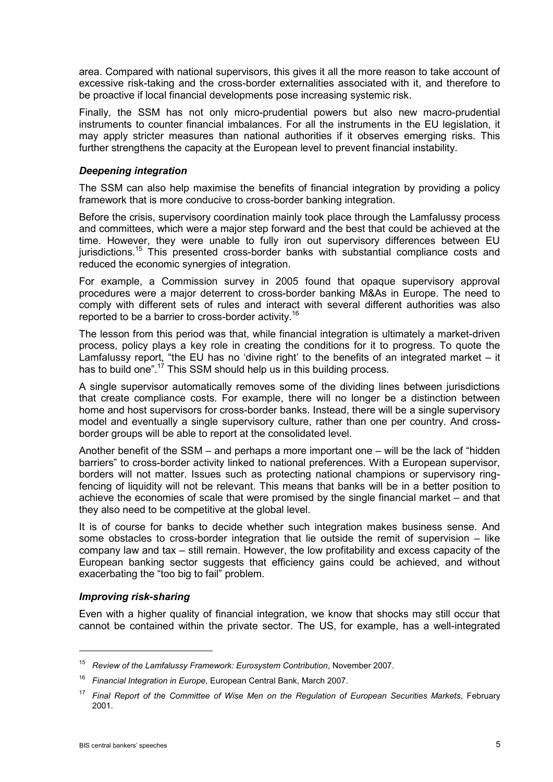area. Compared with national supervisors, this gives it all the more reason to take account of excessive risk-taking and the cross-border externalities associated with it, and therefore to be proactive if local financial developments pose increasing systemic risk.

Finally, the SSM has not only micro-prudential powers but also new macro-prudential instruments to counter financial imbalances. For all the instruments in the EU legislation, it may apply stricter measures than national authorities if it observes emerging risks. This further strengthens the capacity at the European level to prevent financial instability.

## *Deepening integration*

The SSM can also help maximise the benefits of financial integration by providing a policy framework that is more conducive to cross-border banking integration.

Before the crisis, supervisory coordination mainly took place through the Lamfalussy process and committees, which were a major step forward and the best that could be achieved at the time. However, they were unable to fully iron out supervisory differences between EU jurisdictions.<sup>15</sup> This presented cross-border banks with substantial compliance costs and reduced the economic synergies of integration.

For example, a Commission survey in 2005 found that opaque supervisory approval procedures were a major deterrent to cross-border banking M&As in Europe. The need to comply with different sets of rules and interact with several different authorities was also reported to be a barrier to cross-border activity.<sup>16</sup>

The lesson from this period was that, while financial integration is ultimately a market-driven process, policy plays a key role in creating the conditions for it to progress. To quote the Lamfalussy report, "the EU has no 'divine right' to the benefits of an integrated market – it has to build one".<sup>17</sup> This SSM should help us in this building process.

A single supervisor automatically removes some of the dividing lines between jurisdictions that create compliance costs. For example, there will no longer be a distinction between home and host supervisors for cross-border banks. Instead, there will be a single supervisory model and eventually a single supervisory culture, rather than one per country. And crossborder groups will be able to report at the consolidated level.

Another benefit of the SSM – and perhaps a more important one – will be the lack of "hidden barriers" to cross-border activity linked to national preferences. With a European supervisor, borders will not matter. Issues such as protecting national champions or supervisory ringfencing of liquidity will not be relevant. This means that banks will be in a better position to achieve the economies of scale that were promised by the single financial market – and that they also need to be competitive at the global level.

It is of course for banks to decide whether such integration makes business sense. And some obstacles to cross-border integration that lie outside the remit of supervision – like company law and tax – still remain. However, the low profitability and excess capacity of the European banking sector suggests that efficiency gains could be achieved, and without exacerbating the "too big to fail" problem.

# *Improving risk-sharing*

Even with a higher quality of financial integration, we know that shocks may still occur that cannot be contained within the private sector. The US, for example, has a well-integrated

<sup>15</sup> *Review of the Lamfalussy Framework: Eurosystem Contribution*, November 2007.

<sup>16</sup> *Financial Integration in Europe*, European Central Bank, March 2007.

<sup>17</sup> *Final Report of the Committee of Wise Men on the Regulation of European Securities Markets*, February 2001.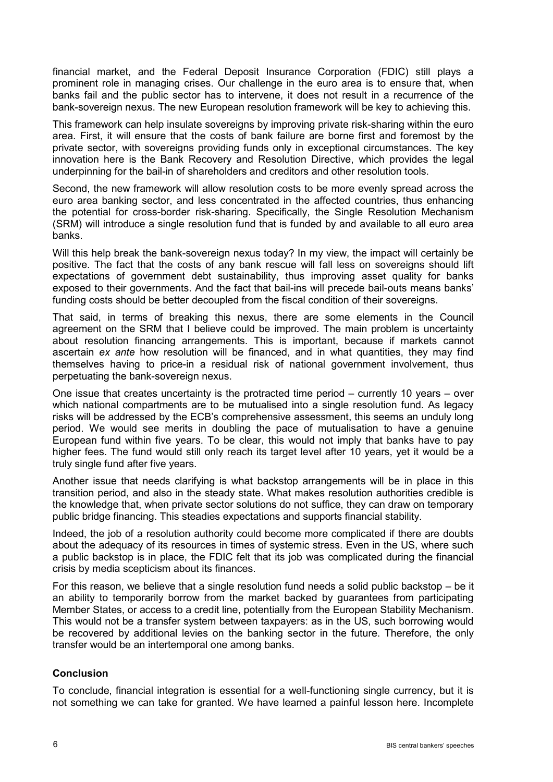financial market, and the Federal Deposit Insurance Corporation (FDIC) still plays a prominent role in managing crises. Our challenge in the euro area is to ensure that, when banks fail and the public sector has to intervene, it does not result in a recurrence of the bank-sovereign nexus. The new European resolution framework will be key to achieving this.

This framework can help insulate sovereigns by improving private risk-sharing within the euro area. First, it will ensure that the costs of bank failure are borne first and foremost by the private sector, with sovereigns providing funds only in exceptional circumstances. The key innovation here is the Bank Recovery and Resolution Directive, which provides the legal underpinning for the bail-in of shareholders and creditors and other resolution tools.

Second, the new framework will allow resolution costs to be more evenly spread across the euro area banking sector, and less concentrated in the affected countries, thus enhancing the potential for cross-border risk-sharing. Specifically, the Single Resolution Mechanism (SRM) will introduce a single resolution fund that is funded by and available to all euro area banks.

Will this help break the bank-sovereign nexus today? In my view, the impact will certainly be positive. The fact that the costs of any bank rescue will fall less on sovereigns should lift expectations of government debt sustainability, thus improving asset quality for banks exposed to their governments. And the fact that bail-ins will precede bail-outs means banks' funding costs should be better decoupled from the fiscal condition of their sovereigns.

That said, in terms of breaking this nexus, there are some elements in the Council agreement on the SRM that I believe could be improved. The main problem is uncertainty about resolution financing arrangements. This is important, because if markets cannot ascertain *ex ante* how resolution will be financed, and in what quantities, they may find themselves having to price-in a residual risk of national government involvement, thus perpetuating the bank-sovereign nexus.

One issue that creates uncertainty is the protracted time period – currently 10 years – over which national compartments are to be mutualised into a single resolution fund. As legacy risks will be addressed by the ECB's comprehensive assessment, this seems an unduly long period. We would see merits in doubling the pace of mutualisation to have a genuine European fund within five years. To be clear, this would not imply that banks have to pay higher fees. The fund would still only reach its target level after 10 years, yet it would be a truly single fund after five years.

Another issue that needs clarifying is what backstop arrangements will be in place in this transition period, and also in the steady state. What makes resolution authorities credible is the knowledge that, when private sector solutions do not suffice, they can draw on temporary public bridge financing. This steadies expectations and supports financial stability.

Indeed, the job of a resolution authority could become more complicated if there are doubts about the adequacy of its resources in times of systemic stress. Even in the US, where such a public backstop is in place, the FDIC felt that its job was complicated during the financial crisis by media scepticism about its finances.

For this reason, we believe that a single resolution fund needs a solid public backstop – be it an ability to temporarily borrow from the market backed by guarantees from participating Member States, or access to a credit line, potentially from the European Stability Mechanism. This would not be a transfer system between taxpayers: as in the US, such borrowing would be recovered by additional levies on the banking sector in the future. Therefore, the only transfer would be an intertemporal one among banks.

# **Conclusion**

To conclude, financial integration is essential for a well-functioning single currency, but it is not something we can take for granted. We have learned a painful lesson here. Incomplete